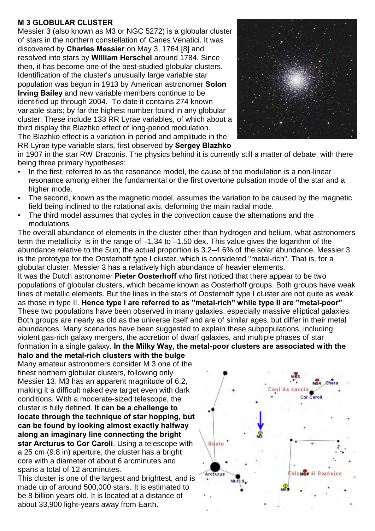## **M 3 GLOBULAR CLUSTER**

Messier 3 (also known as M3 or NGC 5272) is a globular cluster of stars in the northern constellation of Canes Venatici. It was discovered by **Charles Messier** on May 3, 1764,[8] and resolved into stars by **William Herschel** around 1784. Since then, it has become one of the best-studied globular clusters. Identification of the cluster's unusually large variable star population was begun in 1913 by American astronomer **Solon Irving Bailey** and new variable members continue to be identified up through 2004. To date it contains 274 known variable stars; by far the highest number found in any globular cluster. These include 133 RR Lyrae variables, of which about a third display the Blazhko effect of long-period modulation. The Blazhko effect is a variation in period and amplitude in the RR Lyrae type variable stars, first observed by **Sergey Blazhko**



in 1907 in the star RW Draconis. The physics behind it is currently still a matter of debate, with there being three primary hypotheses:

- In the first, referred to as the resonance model, the cause of the modulation is a non-linear resonance among either the fundamental or the first overtone pulsation mode of the star and a higher mode.
- The second, known as the magnetic model, assumes the variation to be caused by the magnetic field being inclined to the rotational axis, deforming the main radial mode.
- The third model assumes that cycles in the convection cause the alternations and the modulations

The overall abundance of elements in the cluster other than hydrogen and helium, what astronomers term the metallicity, is in the range of –1.34 to –1.50 dex. This value gives the logarithm of the abundance relative to the Sun; the actual proportion is 3.2–4.6% of the solar abundance. Messier 3 is the prototype for the Oosterhoff type I cluster, which is considered "metal-rich". That is, for a globular cluster, Messier 3 has a relatively high abundance of heavier elements.

It was the Dutch astronomer **Pieter Oosterhoff** who first noticed that there appear to be two populations of globular clusters, which became known as Oosterhoff groups. Both groups have weak lines of metallic elements. But the lines in the stars of Oosterhoff type I cluster are not quite as weak as those in type II. **Hence type I are referred to as "metal-rich" while type II are "metal-poor"**  These two populations have been observed in many galaxies, especially massive elliptical galaxies. Both groups are nearly as old as the universe itself and are of similar ages, but differ in their metal abundances. Many scenarios have been suggested to explain these subpopulations, including violent gas-rich galaxy mergers, the accretion of dwarf galaxies, and multiple phases of star formation in a single galaxy. **In the Milky Way, the metal-poor clusters are associated with the halo and the metal-rich clusters with the bulge**

Many amateur astronomers consider M 3 one of the finest northern globular clusters, following only Messier 13. M3 has an apparent magnitude of 6.2, making it a difficult naked eye target even with dark conditions. With a moderate-sized telescope, the cluster is fully defined. **It can be a challenge to locate through the technique of star hopping, but can be found by looking almost exactly halfway along an imaginary line connecting the bright star Arcturus to Cor Caroli**. Using a telescope with a 25 cm (9.8 in) aperture, the cluster has a bright core with a diameter of about 6 arcminutes and spans a total of 12 arcminutes.

This cluster is one of the largest and brightest, and is made up of around 500,000 stars. It is estimated to be 8 billion years old. It is located at a distance of about 33,900 light-years away from Earth.